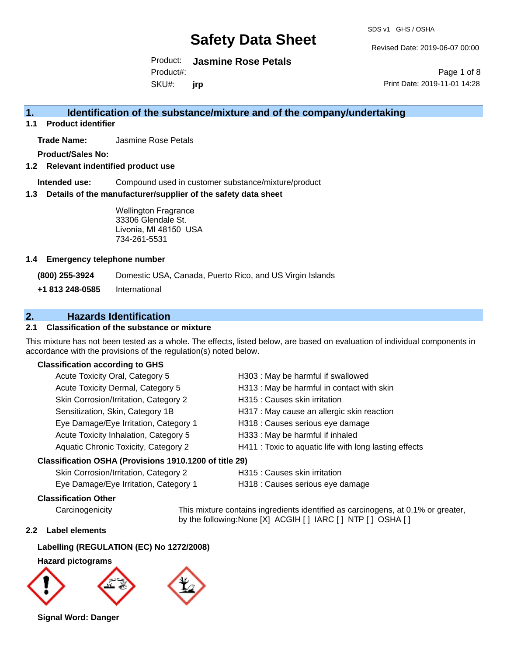SDS v1 GHS / OSHA

Revised Date: 2019-06-07 00:00

Product: **Jasmine Rose Petals** SKU#: Product#: **jrp**

Page 1 of 8 Print Date: 2019-11-01 14:28

## **1. Identification of the substance/mixture and of the company/undertaking**

**1.1 Product identifier**

**Trade Name:** Jasmine Rose Petals

**Product/Sales No:**

**1.2 Relevant indentified product use**

**Intended use:** Compound used in customer substance/mixture/product

**1.3 Details of the manufacturer/supplier of the safety data sheet**

Wellington Fragrance 33306 Glendale St. Livonia, MI 48150 USA 734-261-5531

#### **1.4 Emergency telephone number**

**(800) 255-3924** Domestic USA, Canada, Puerto Rico, and US Virgin Islands

**+1 813 248-0585** International

## **2. Hazards Identification**

#### **2.1 Classification of the substance or mixture**

This mixture has not been tested as a whole. The effects, listed below, are based on evaluation of individual components in accordance with the provisions of the regulation(s) noted below.

#### **Classification according to GHS**

| Acute Toxicity Oral, Category 5                      | H303 : May be harmful if swallowed                     |
|------------------------------------------------------|--------------------------------------------------------|
| Acute Toxicity Dermal, Category 5                    | H313: May be harmful in contact with skin              |
| Skin Corrosion/Irritation, Category 2                | H315 : Causes skin irritation                          |
| Sensitization, Skin, Category 1B                     | H317 : May cause an allergic skin reaction             |
| Eye Damage/Eye Irritation, Category 1                | H318 : Causes serious eye damage                       |
| Acute Toxicity Inhalation, Category 5                | H333: May be harmful if inhaled                        |
| Aquatic Chronic Toxicity, Category 2                 | H411 : Toxic to aquatic life with long lasting effects |
| issification OSHA (Provisions 1910 1200 of title 29) |                                                        |

#### **Classification OSHA (Provisions 1910.1200 of title 29)**

Skin Corrosion/Irritation, Category 2 H315 : Causes skin irritation

Eye Damage/Eye Irritation, Category 1 H318 : Causes serious eye damage

### **Classification Other**

Carcinogenicity This mixture contains ingredients identified as carcinogens, at 0.1% or greater, by the following:None [X] ACGIH [ ] IARC [ ] NTP [ ] OSHA [ ]

#### **2.2 Label elements**

### **Labelling (REGULATION (EC) No 1272/2008)**

#### **Hazard pictograms**



**Signal Word: Danger**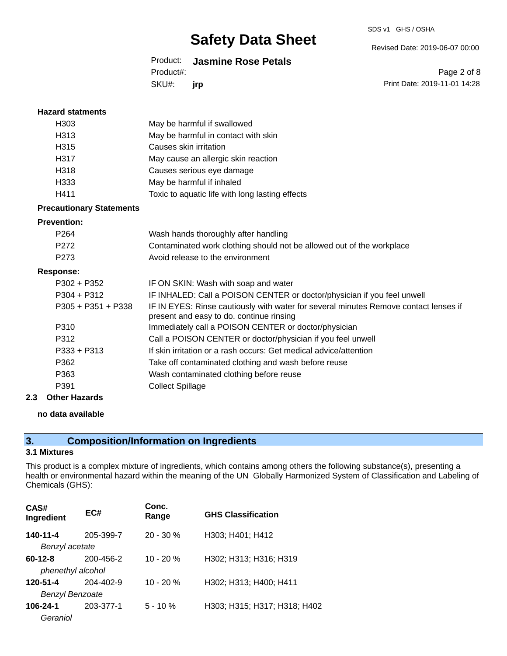Revised Date: 2019-06-07 00:00

Product: **Jasmine Rose Petals** SKU#: Product#: **jrp**

Page 2 of 8 Print Date: 2019-11-01 14:28

| <b>Hazard statments</b>         |                                                                                                                                  |
|---------------------------------|----------------------------------------------------------------------------------------------------------------------------------|
| H <sub>303</sub>                | May be harmful if swallowed                                                                                                      |
| H313                            | May be harmful in contact with skin                                                                                              |
| H315                            | Causes skin irritation                                                                                                           |
| H317                            | May cause an allergic skin reaction                                                                                              |
| H318                            | Causes serious eye damage                                                                                                        |
| H333                            | May be harmful if inhaled                                                                                                        |
| H411                            | Toxic to aquatic life with long lasting effects                                                                                  |
| <b>Precautionary Statements</b> |                                                                                                                                  |
| <b>Prevention:</b>              |                                                                                                                                  |
| P264                            | Wash hands thoroughly after handling                                                                                             |
| P <sub>272</sub>                | Contaminated work clothing should not be allowed out of the workplace                                                            |
| P <sub>273</sub>                | Avoid release to the environment                                                                                                 |
| <b>Response:</b>                |                                                                                                                                  |
| $P302 + P352$                   | IF ON SKIN: Wash with soap and water                                                                                             |
| $P304 + P312$                   | IF INHALED: Call a POISON CENTER or doctor/physician if you feel unwell                                                          |
| $P305 + P351 + P338$            | IF IN EYES: Rinse cautiously with water for several minutes Remove contact lenses if<br>present and easy to do. continue rinsing |
| P310                            | Immediately call a POISON CENTER or doctor/physician                                                                             |
| P312                            | Call a POISON CENTER or doctor/physician if you feel unwell                                                                      |
| P333 + P313                     | If skin irritation or a rash occurs: Get medical advice/attention                                                                |
| P362                            | Take off contaminated clothing and wash before reuse                                                                             |
| P363                            | Wash contaminated clothing before reuse                                                                                          |
| P391                            | <b>Collect Spillage</b>                                                                                                          |
| 2.3<br><b>Other Hazards</b>     |                                                                                                                                  |

#### **no data available**

## **3. Composition/Information on Ingredients**

### **3.1 Mixtures**

This product is a complex mixture of ingredients, which contains among others the following substance(s), presenting a health or environmental hazard within the meaning of the UN Globally Harmonized System of Classification and Labeling of Chemicals (GHS):

| CAS#<br>Ingredient     | EC#       | Conc.<br>Range | <b>GHS Classification</b>    |
|------------------------|-----------|----------------|------------------------------|
| 140-11-4               | 205-399-7 | $20 - 30 \%$   | H303; H401; H412             |
| Benzyl acetate         |           |                |                              |
| $60 - 12 - 8$          | 200-456-2 | $10 - 20%$     | H302; H313; H316; H319       |
| phenethyl alcohol      |           |                |                              |
| 120-51-4               | 204-402-9 | $10 - 20%$     | H302; H313; H400; H411       |
| <b>Benzyl Benzoate</b> |           |                |                              |
| $106 - 24 - 1$         | 203-377-1 | $5 - 10%$      | H303; H315; H317; H318; H402 |
| Geraniol               |           |                |                              |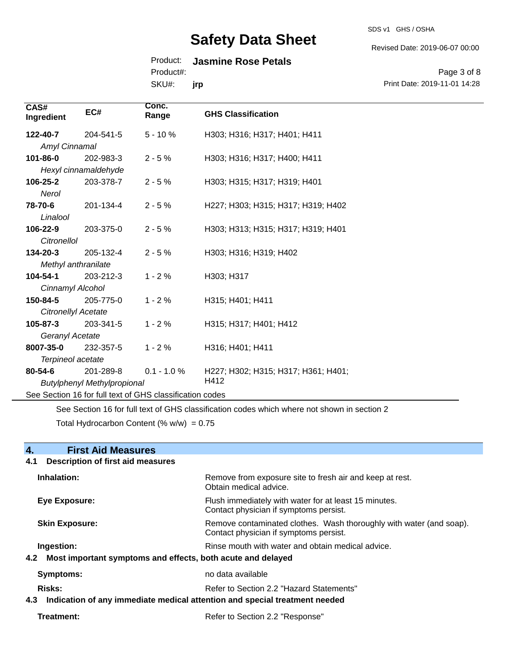SDS v1 GHS / OSHA

Revised Date: 2019-06-07 00:00

### Product: **Jasmine Rose Petals**

Product#:

SKU#: **jrp**

#### Page 3 of 8 Print Date: 2019-11-01 14:28

| CAS#<br>Ingredient                                       | EC#                  | Conc.<br>Range | <b>GHS Classification</b>           |
|----------------------------------------------------------|----------------------|----------------|-------------------------------------|
| 122-40-7                                                 | 204-541-5            | $5 - 10%$      | H303; H316; H317; H401; H411        |
| Amyl Cinnamal                                            |                      |                |                                     |
| 101-86-0                                                 | 202-983-3            | $2 - 5%$       | H303; H316; H317; H400; H411        |
|                                                          | Hexyl cinnamaldehyde |                |                                     |
| 106-25-2                                                 | 203-378-7            | $2 - 5%$       | H303; H315; H317; H319; H401        |
| Nerol                                                    |                      |                |                                     |
| 78-70-6                                                  | 201-134-4            | $2 - 5%$       | H227; H303; H315; H317; H319; H402  |
| Linalool                                                 |                      |                |                                     |
| 106-22-9                                                 | 203-375-0            | $2 - 5%$       | H303; H313; H315; H317; H319; H401  |
| Citronellol                                              |                      |                |                                     |
| 134-20-3                                                 | 205-132-4            | $2 - 5%$       | H303; H316; H319; H402              |
| Methyl anthranilate                                      |                      |                |                                     |
| 104-54-1                                                 | 203-212-3            | $1 - 2%$       | H303; H317                          |
| Cinnamyl Alcohol                                         |                      |                |                                     |
| 150-84-5                                                 | 205-775-0            | $1 - 2%$       | H315; H401; H411                    |
| Citronellyl Acetate                                      |                      |                |                                     |
| 105-87-3                                                 | 203-341-5            | $1 - 2%$       | H315; H317; H401; H412              |
| Geranyl Acetate                                          |                      |                |                                     |
| 8007-35-0                                                | 232-357-5            | $1 - 2%$       | H316; H401; H411                    |
| Terpineol acetate                                        |                      |                |                                     |
| 80-54-6                                                  | 201-289-8            | $0.1 - 1.0 %$  | H227; H302; H315; H317; H361; H401; |
| H412<br><b>Butylphenyl Methylpropional</b>               |                      |                |                                     |
| See Section 16 for full text of GHS classification codes |                      |                |                                     |

See Section 16 for full text of GHS classification codes which where not shown in section 2

Total Hydrocarbon Content (%  $w/w$ ) = 0.75

## **4. First Aid Measures 4.1 Description of first aid measures Inhalation:** Remove from exposure site to fresh air and keep at rest. Obtain medical advice. **Eye Exposure:** Flush immediately with water for at least 15 minutes. Contact physician if symptoms persist. **Skin Exposure: Remove contaminated clothes. Wash thoroughly with water (and soap).** Remove contaminated clothes. Wash thoroughly with water (and soap). Contact physician if symptoms persist. **Ingestion: Rinse mouth with water and obtain medical advice. In all of the state of the Ringestian Medical advice. 4.2 Most important symptoms and effects, both acute and delayed Symptoms:** no data available **Risks:** Risks: Refer to Section 2.2 "Hazard Statements" **4.3 Indication of any immediate medical attention and special treatment needed Treatment:** Treatment: Refer to Section 2.2 "Response"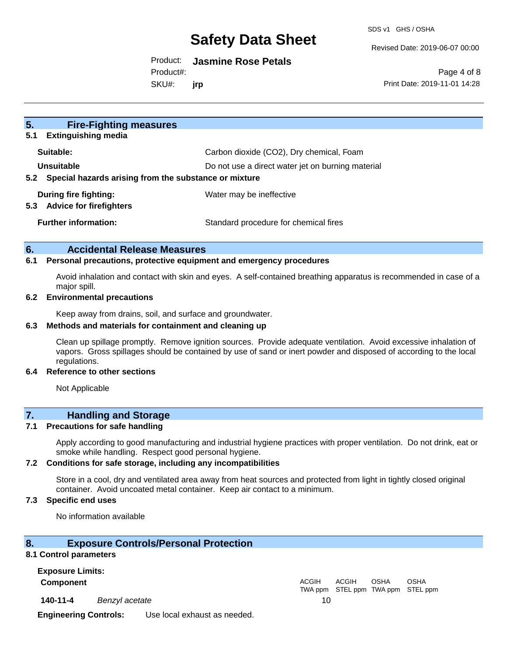SDS v1 GHS / OSHA

Revised Date: 2019-06-07 00:00

#### Product: **Jasmine Rose Petals**

Product#:

SKU#: **jrp**

Page 4 of 8 Print Date: 2019-11-01 14:28

| 5.<br><b>Fire-Fighting measures</b><br><b>Extinguishing media</b><br>5.1                                                                  |                                          |
|-------------------------------------------------------------------------------------------------------------------------------------------|------------------------------------------|
| Suitable:                                                                                                                                 | Carbon dioxide (CO2), Dry chemical, Foam |
| Unsuitable<br>Do not use a direct water jet on burning material<br>Special hazards arising from the substance or mixture<br>$5.2^{\circ}$ |                                          |
| During fire fighting:<br><b>Advice for firefighters</b><br>5.3                                                                            | Water may be ineffective                 |
| <b>Further information:</b>                                                                                                               | Standard procedure for chemical fires    |

#### **6. Accidental Release Measures**

#### **6.1 Personal precautions, protective equipment and emergency procedures**

Avoid inhalation and contact with skin and eyes. A self-contained breathing apparatus is recommended in case of a major spill.

#### **6.2 Environmental precautions**

Keep away from drains, soil, and surface and groundwater.

#### **6.3 Methods and materials for containment and cleaning up**

Clean up spillage promptly. Remove ignition sources. Provide adequate ventilation. Avoid excessive inhalation of vapors. Gross spillages should be contained by use of sand or inert powder and disposed of according to the local regulations.

#### **6.4 Reference to other sections**

Not Applicable

### **7. Handling and Storage**

#### **7.1 Precautions for safe handling**

Apply according to good manufacturing and industrial hygiene practices with proper ventilation. Do not drink, eat or smoke while handling. Respect good personal hygiene.

#### **7.2 Conditions for safe storage, including any incompatibilities**

Store in a cool, dry and ventilated area away from heat sources and protected from light in tightly closed original container. Avoid uncoated metal container. Keep air contact to a minimum.

#### **7.3 Specific end uses**

No information available

#### **8. Exposure Controls/Personal Protection**

#### **8.1 Control parameters**

**Exposure Limits:**

**Component** ACGIH

**140-11-4** *Benzyl acetate* 10

TWA ppm STEL ppm TWA ppm STEL ppm ACGIH **OSHA** OSHA

**Engineering Controls:** Use local exhaust as needed.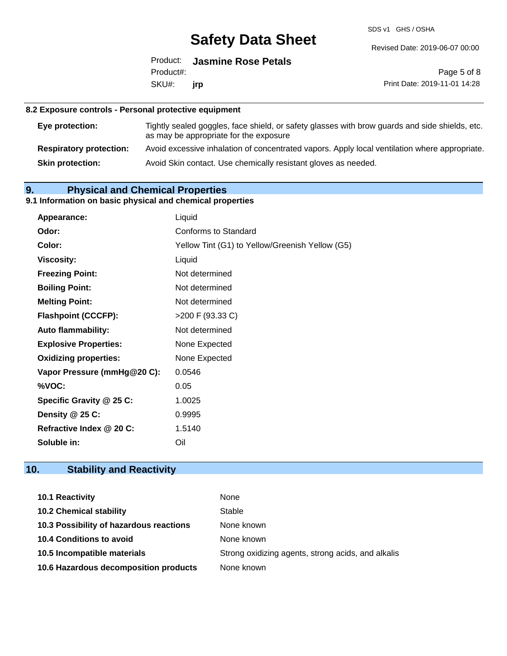SDS v1 GHS / OSHA

Revised Date: 2019-06-07 00:00

|                  | Product: Jasmine Rose Petals |
|------------------|------------------------------|
| Product#:        |                              |
| SKU#: <b>irp</b> |                              |

Page 5 of 8 Print Date: 2019-11-01 14:28

### **8.2 Exposure controls - Personal protective equipment**

| <b>Eye protection:</b>         | Tightly sealed goggles, face shield, or safety glasses with brow guards and side shields, etc.<br>as may be appropriate for the exposure |
|--------------------------------|------------------------------------------------------------------------------------------------------------------------------------------|
| <b>Respiratory protection:</b> | Avoid excessive inhalation of concentrated vapors. Apply local ventilation where appropriate.                                            |
| <b>Skin protection:</b>        | Avoid Skin contact. Use chemically resistant gloves as needed.                                                                           |

## **9. Physical and Chemical Properties**

## **9.1 Information on basic physical and chemical properties**

| Appearance:                  | Liquid                                          |
|------------------------------|-------------------------------------------------|
| Odor:                        | Conforms to Standard                            |
| Color:                       | Yellow Tint (G1) to Yellow/Greenish Yellow (G5) |
| <b>Viscosity:</b>            | Liquid                                          |
| <b>Freezing Point:</b>       | Not determined                                  |
| <b>Boiling Point:</b>        | Not determined                                  |
| <b>Melting Point:</b>        | Not determined                                  |
| <b>Flashpoint (CCCFP):</b>   | >200 F (93.33 C)                                |
| <b>Auto flammability:</b>    | Not determined                                  |
| <b>Explosive Properties:</b> | None Expected                                   |
| <b>Oxidizing properties:</b> | None Expected                                   |
| Vapor Pressure (mmHg@20 C):  | 0.0546                                          |
| %VOC:                        | 0.05                                            |
| Specific Gravity @ 25 C:     | 1.0025                                          |
| Density @ 25 C:              | 0.9995                                          |
| Refractive Index @ 20 C:     | 1.5140                                          |
| Soluble in:                  | Oil                                             |

## **10. Stability and Reactivity**

| 10.1 Reactivity                         | None                                               |
|-----------------------------------------|----------------------------------------------------|
| <b>10.2 Chemical stability</b>          | Stable                                             |
| 10.3 Possibility of hazardous reactions | None known                                         |
| <b>10.4 Conditions to avoid</b>         | None known                                         |
| 10.5 Incompatible materials             | Strong oxidizing agents, strong acids, and alkalis |
| 10.6 Hazardous decomposition products   | None known                                         |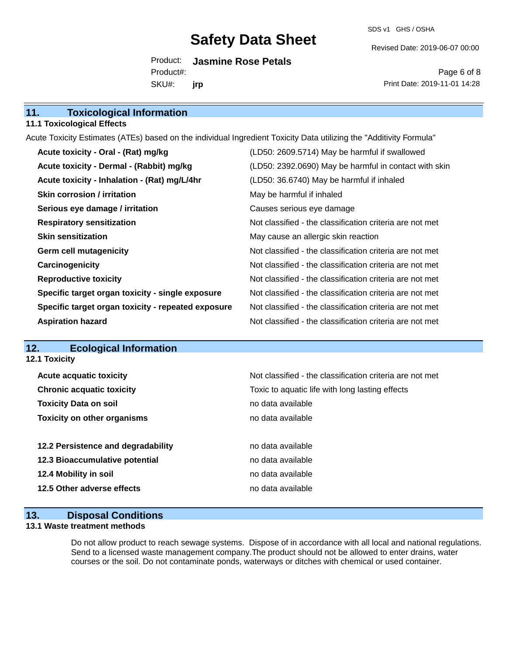SDS v1 GHS / OSHA

Revised Date: 2019-06-07 00:00

Product: **Jasmine Rose Petals** SKU#: Product#: **jrp**

Page 6 of 8 Print Date: 2019-11-01 14:28

| 11.<br><b>Toxicological Information</b> |  |
|-----------------------------------------|--|
|-----------------------------------------|--|

#### **11.1 Toxicological Effects**

Acute Toxicity Estimates (ATEs) based on the individual Ingredient Toxicity Data utilizing the "Additivity Formula"

| Acute toxicity - Oral - (Rat) mg/kg                | (LD50: 2609.5714) May be harmful if swallowed            |
|----------------------------------------------------|----------------------------------------------------------|
| Acute toxicity - Dermal - (Rabbit) mg/kg           | (LD50: 2392.0690) May be harmful in contact with skin    |
| Acute toxicity - Inhalation - (Rat) mg/L/4hr       | (LD50: 36.6740) May be harmful if inhaled                |
| <b>Skin corrosion / irritation</b>                 | May be harmful if inhaled                                |
| Serious eye damage / irritation                    | Causes serious eye damage                                |
| <b>Respiratory sensitization</b>                   | Not classified - the classification criteria are not met |
| <b>Skin sensitization</b>                          | May cause an allergic skin reaction                      |
| <b>Germ cell mutagenicity</b>                      | Not classified - the classification criteria are not met |
| Carcinogenicity                                    | Not classified - the classification criteria are not met |
| <b>Reproductive toxicity</b>                       | Not classified - the classification criteria are not met |
| Specific target organ toxicity - single exposure   | Not classified - the classification criteria are not met |
| Specific target organ toxicity - repeated exposure | Not classified - the classification criteria are not met |
| <b>Aspiration hazard</b>                           | Not classified - the classification criteria are not met |

## **12. Ecological Information**

| Not classified - the classification criteria are not met |
|----------------------------------------------------------|
| Toxic to aquatic life with long lasting effects          |
| no data available                                        |
| no data available                                        |
| no data available                                        |
| no data available                                        |
| no data available                                        |
| no data available                                        |
|                                                          |

### **13. Disposal Conditions**

#### **13.1 Waste treatment methods**

Do not allow product to reach sewage systems. Dispose of in accordance with all local and national regulations. Send to a licensed waste management company.The product should not be allowed to enter drains, water courses or the soil. Do not contaminate ponds, waterways or ditches with chemical or used container.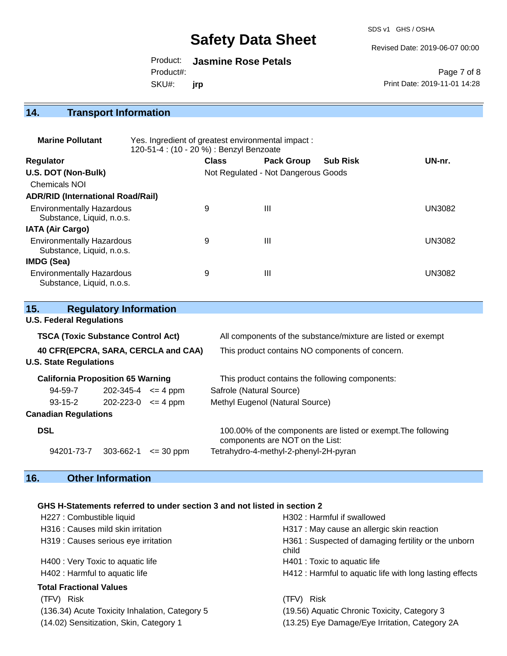SDS v1 GHS / OSHA

Revised Date: 2019-06-07 00:00

Product: **Jasmine Rose Petals** SKU#: Product#: **jrp**

Page 7 of 8 Print Date: 2019-11-01 14:28

## **14. Transport Information**

| <b>Marine Pollutant</b>                                       | Yes. Ingredient of greatest environmental impact:<br>120-51-4 : (10 - 20 %) : Benzyl Benzoate |              |                                     |                 |               |
|---------------------------------------------------------------|-----------------------------------------------------------------------------------------------|--------------|-------------------------------------|-----------------|---------------|
| <b>Regulator</b>                                              |                                                                                               | <b>Class</b> | <b>Pack Group</b>                   | <b>Sub Risk</b> | UN-nr.        |
| U.S. DOT (Non-Bulk)                                           |                                                                                               |              | Not Regulated - Not Dangerous Goods |                 |               |
| <b>Chemicals NOI</b>                                          |                                                                                               |              |                                     |                 |               |
| <b>ADR/RID (International Road/Rail)</b>                      |                                                                                               |              |                                     |                 |               |
| <b>Environmentally Hazardous</b><br>Substance, Liquid, n.o.s. |                                                                                               | 9            | Ш                                   |                 | <b>UN3082</b> |
| <b>IATA (Air Cargo)</b>                                       |                                                                                               |              |                                     |                 |               |
| <b>Environmentally Hazardous</b><br>Substance, Liquid, n.o.s. |                                                                                               | 9            | Ш                                   |                 | <b>UN3082</b> |
| IMDG (Sea)                                                    |                                                                                               |              |                                     |                 |               |
| <b>Environmentally Hazardous</b><br>Substance, Liquid, n.o.s. |                                                                                               | 9            | Ш                                   |                 | <b>UN3082</b> |

| 15.                                       | <b>Regulatory Information</b> |               |                                                                                                  |  |
|-------------------------------------------|-------------------------------|---------------|--------------------------------------------------------------------------------------------------|--|
| <b>U.S. Federal Regulations</b>           |                               |               |                                                                                                  |  |
| <b>TSCA (Toxic Substance Control Act)</b> |                               |               | All components of the substance/mixture are listed or exempt                                     |  |
| 40 CFR(EPCRA, SARA, CERCLA and CAA)       |                               |               | This product contains NO components of concern.                                                  |  |
| <b>U.S. State Regulations</b>             |                               |               |                                                                                                  |  |
| <b>California Proposition 65 Warning</b>  |                               |               | This product contains the following components:                                                  |  |
| 94-59-7                                   | $202 - 345 - 4 \leq 4$ ppm    |               | Safrole (Natural Source)                                                                         |  |
| $93 - 15 - 2$                             | $202 - 223 - 0 \leq 4$ ppm    |               | Methyl Eugenol (Natural Source)                                                                  |  |
| <b>Canadian Regulations</b>               |                               |               |                                                                                                  |  |
| <b>DSL</b>                                |                               |               | 100.00% of the components are listed or exempt. The following<br>components are NOT on the List: |  |
| 94201-73-7                                | 303-662-1                     | $\leq$ 30 ppm | Tetrahydro-4-methyl-2-phenyl-2H-pyran                                                            |  |

## **16. Other Information**

### **GHS H-Statements referred to under section 3 and not listed in section 2**

| H227 : Combustible liquid                      | H302: Harmful if swallowed                                   |  |
|------------------------------------------------|--------------------------------------------------------------|--|
| H316 : Causes mild skin irritation             | H317 : May cause an allergic skin reaction                   |  |
| H319 : Causes serious eye irritation           | H361: Suspected of damaging fertility or the unborn<br>child |  |
| H400 : Very Toxic to aquatic life              | H401 : Toxic to aquatic life                                 |  |
| H402 : Harmful to aquatic life                 | H412 : Harmful to aquatic life with long lasting effects     |  |
| <b>Total Fractional Values</b>                 |                                                              |  |
| (TFV) Risk                                     | (TFV) Risk                                                   |  |
| (136.34) Acute Toxicity Inhalation, Category 5 | (19.56) Aquatic Chronic Toxicity, Category 3                 |  |
| (14.02) Sensitization, Skin, Category 1        | (13.25) Eye Damage/Eye Irritation, Category 2A               |  |
|                                                |                                                              |  |